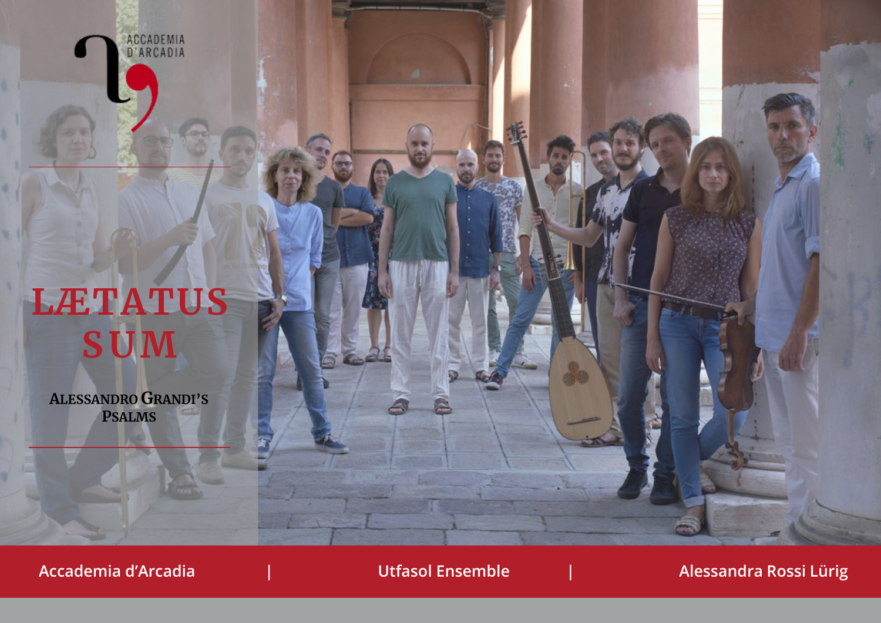

# **LÆTATUS SUM**

**ALESSANDRO GRANDI'S PSALMS**

**Accademia d'Arcadia | Utfasol Ensemble | Alessandra Rossi Lürig**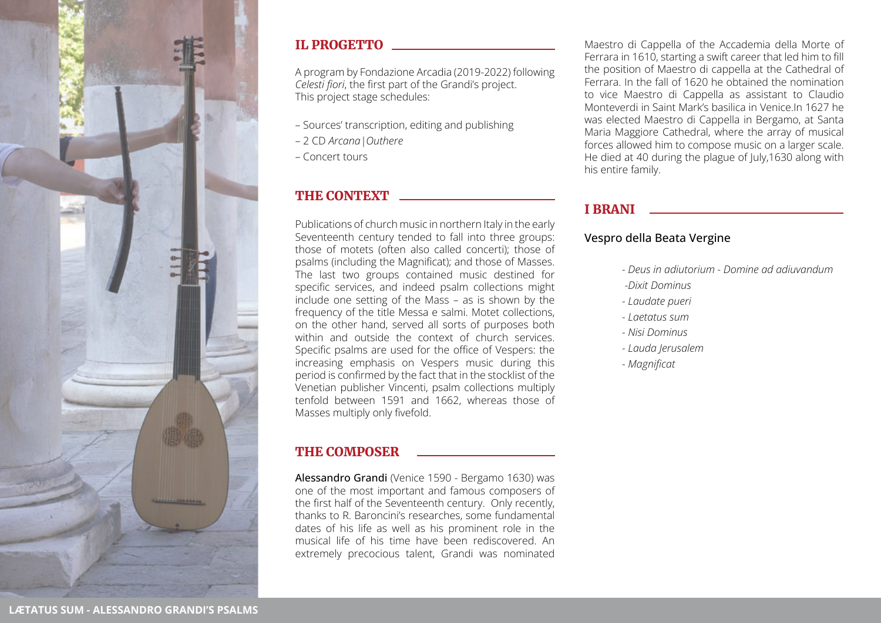

### IL PROGETTO

A program by Fondazione Arcadia (2019-2022) following *Celesti fiori*, the first part of the Grandi's project. This project stage schedules:

- Sources' transcription, editing and publishing
- 2 CD *Arcana|Outhere*
- Concert tours

# THE CONTEXT

Publications of church music in northern Italy in the early Seventeenth century tended to fall into three groups: those of motets (often also called concerti); those of psalms (including the Magnificat); and those of Masses. The last two groups contained music destined for specific services, and indeed psalm collections might include one setting of the Mass – as is shown by the frequency of the title Messa e salmi. Motet collections, on the other hand, served all sorts of purposes both within and outside the context of church services. Specific psalms are used for the office of Vespers: the increasing emphasis on Vespers music during this period is confirmed by the fact that in the stocklist of the Venetian publisher Vincenti, psalm collections multiply tenfold between 1591 and 1662, whereas those of Masses multiply only fivefold.

# THE COMPOSER

Alessandro Grandi (Venice 1590 - Bergamo 1630) was one of the most important and famous composers of the first half of the Seventeenth century. Only recently, thanks to R. Baroncini's researches, some fundamental dates of his life as well as his prominent role in the musical life of his time have been rediscovered. An extremely precocious talent, Grandi was nominated

Maestro di Cappella of the Accademia della Morte of Ferrara in 1610, starting a swift career that led him to fill the position of Maestro di cappella at the Cathedral of Ferrara. In the fall of 1620 he obtained the nomination to vice Maestro di Cappella as assistant to Claudio Monteverdi in Saint Mark's basilica in Venice.In 1627 he was elected Maestro di Cappella in Bergamo, at Santa Maria Maggiore Cathedral, where the array of musical forces allowed him to compose music on a larger scale. He died at 40 during the plague of July,1630 along with his entire family.

## I BRANI

#### Vespro della Beata Vergine

- *Deus in adiutorium Domine ad adiuvandum -Dixit Dominus*
- *Laudate pueri*
- *Laetatus sum*
- *Nisi Dominus*
- *Lauda Jerusalem*
- *Magnificat*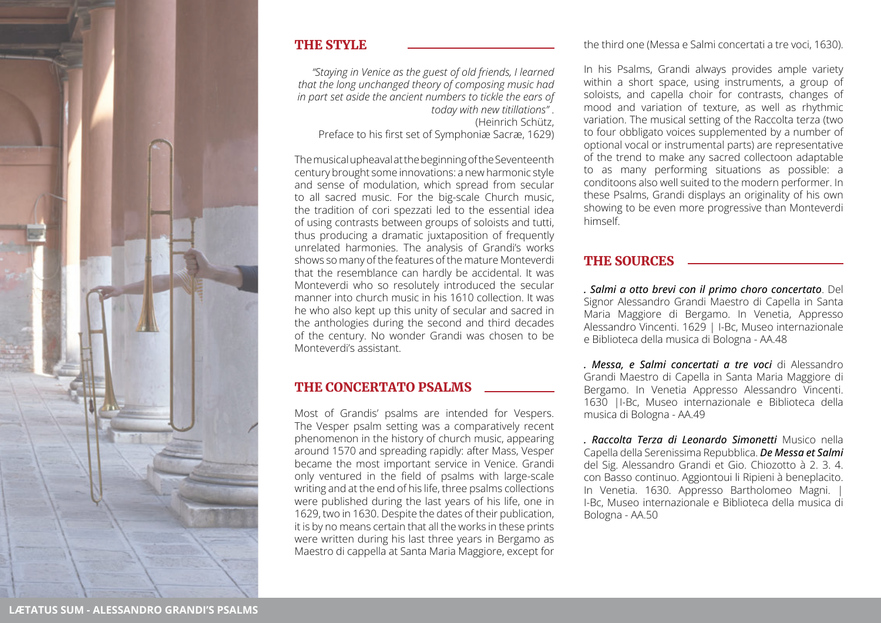

#### THE STYLE

*"Staying in Venice as the guest of old friends, I learned that the long unchanged theory of composing music had in part set aside the ancient numbers to tickle the ears of today with new titillations"* . (Heinrich Schütz, Preface to his first set of Symphoniæ Sacræ, 1629)

The musical upheaval at the beginning of the Seventeenth century brought some innovations: a new harmonic style and sense of modulation, which spread from secular to all sacred music. For the big-scale Church music, the tradition of cori spezzati led to the essential idea of using contrasts between groups of soloists and tutti, thus producing a dramatic juxtaposition of frequently unrelated harmonies. The analysis of Grandi's works shows so many of the features of the mature Monteverdi that the resemblance can hardly be accidental. It was Monteverdi who so resolutely introduced the secular manner into church music in his 1610 collection. It was he who also kept up this unity of secular and sacred in the anthologies during the second and third decades of the century. No wonder Grandi was chosen to be Monteverdi's assistant.

#### THE CONCERTATO PSALMS

Most of Grandis' psalms are intended for Vespers. The Vesper psalm setting was a comparatively recent phenomenon in the history of church music, appearing around 1570 and spreading rapidly: after Mass, Vesper became the most important service in Venice. Grandi only ventured in the field of psalms with large-scale writing and at the end of his life, three psalms collections were published during the last years of his life, one in 1629, two in 1630. Despite the dates of their publication, it is by no means certain that all the works in these prints were written during his last three years in Bergamo as Maestro di cappella at Santa Maria Maggiore, except for

the third one (Messa e Salmi concertati a tre voci, 1630).

In his Psalms, Grandi always provides ample variety within a short space, using instruments, a group of soloists, and capella choir for contrasts, changes of mood and variation of texture, as well as rhythmic variation. The musical setting of the Raccolta terza (two to four obbligato voices supplemented by a number of optional vocal or instrumental parts) are representative of the trend to make any sacred collectoon adaptable to as many performing situations as possible: a conditoons also well suited to the modern performer. In these Psalms, Grandi displays an originality of his own showing to be even more progressive than Monteverdi himself.

#### THE SOURCES

*. Salmi a otto brevi con il primo choro concertato*. Del Signor Alessandro Grandi Maestro di Capella in Santa Maria Maggiore di Bergamo. In Venetia, Appresso Alessandro Vincenti. 1629 | I-Bc, Museo internazionale e Biblioteca della musica di Bologna - AA.48

*. Messa, e Salmi concertati a tre voci* di Alessandro Grandi Maestro di Capella in Santa Maria Maggiore di Bergamo. In Venetia Appresso Alessandro Vincenti. 1630 |I-Bc, Museo internazionale e Biblioteca della musica di Bologna - AA.49

*. Raccolta Terza di Leonardo Simonetti* Musico nella Capella della Serenissima Repubblica. *De Messa et Salmi* del Sig. Alessandro Grandi et Gio. Chiozotto à 2. 3. 4. con Basso continuo. Aggiontoui li Ripieni à beneplacito. In Venetia. 1630. Appresso Bartholomeo Magni. I-Bc, Museo internazionale e Biblioteca della musica di Bologna - AA.50